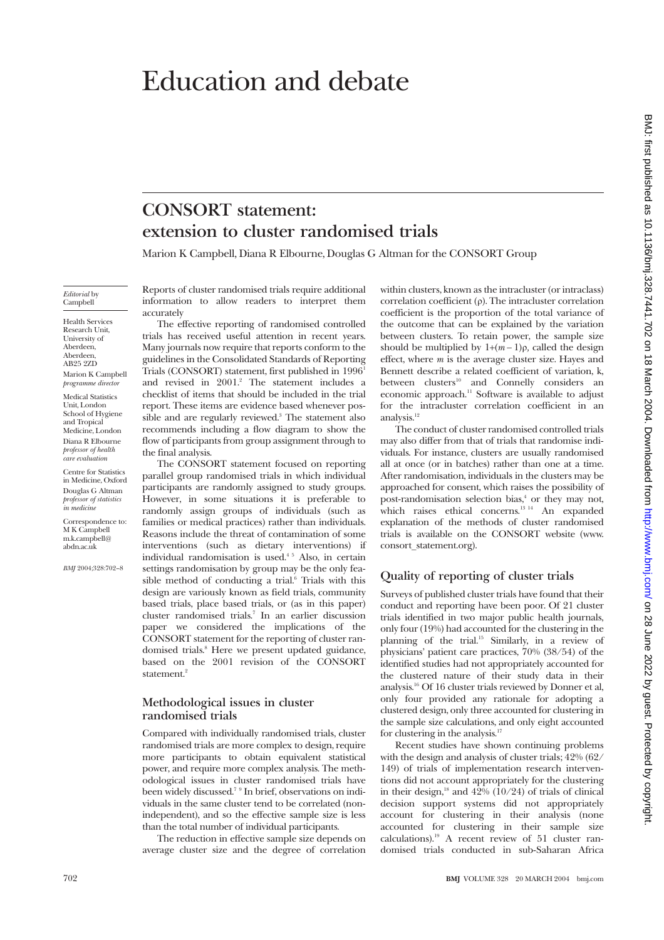# Education and debate

# **CONSORT statement: extension to cluster randomised trials**

Marion K Campbell, Diana R Elbourne, Douglas G Altman for the CONSORT Group

#### *Editorial* by Campbell

Health Services Research Unit, University of Aberdeen, Aberdeen, AB25 2ZD Marion K Campbell *programme director*

Medical Statistics Unit, London School of Hygiene and Tropical Medicine, London Diana R Elbourne *professor of health care evaluation*

Centre for Statistics in Medicine, Oxford Douglas G Altman *professor of statistics in medicine*

Correspondence to: M K Campbell m.k.campbell@ abdn.ac.uk

*BMJ* 2004;328:702–8

Reports of cluster randomised trials require additional information to allow readers to interpret them accurately

The effective reporting of randomised controlled trials has received useful attention in recent years. Many journals now require that reports conform to the guidelines in the Consolidated Standards of Reporting Trials (CONSORT) statement, first published in 1996<sup>1</sup> and revised in 2001.<sup>2</sup> The statement includes a checklist of items that should be included in the trial report. These items are evidence based whenever possible and are regularly reviewed.<sup>3</sup> The statement also recommends including a flow diagram to show the flow of participants from group assignment through to the final analysis.

The CONSORT statement focused on reporting parallel group randomised trials in which individual participants are randomly assigned to study groups. However, in some situations it is preferable to randomly assign groups of individuals (such as families or medical practices) rather than individuals. Reasons include the threat of contamination of some interventions (such as dietary interventions) if individual randomisation is used.4 5 Also, in certain settings randomisation by group may be the only feasible method of conducting a trial.<sup>6</sup> Trials with this design are variously known as field trials, community based trials, place based trials, or (as in this paper) cluster randomised trials.7 In an earlier discussion paper we considered the implications of the CONSORT statement for the reporting of cluster randomised trials.<sup>8</sup> Here we present updated guidance, based on the 2001 revision of the CONSORT statement.<sup>2</sup>

# **Methodological issues in cluster randomised trials**

Compared with individually randomised trials, cluster randomised trials are more complex to design, require more participants to obtain equivalent statistical power, and require more complex analysis. The methodological issues in cluster randomised trials have been widely discussed.7 9 In brief, observations on individuals in the same cluster tend to be correlated (nonindependent), and so the effective sample size is less than the total number of individual participants.

The reduction in effective sample size depends on average cluster size and the degree of correlation within clusters, known as the intracluster (or intraclass) correlation coefficient  $(\rho)$ . The intracluster correlation coefficient is the proportion of the total variance of the outcome that can be explained by the variation between clusters. To retain power, the sample size should be multiplied by  $1+(m-1)\rho$ , called the design effect, where *m* is the average cluster size. Hayes and Bennett describe a related coefficient of variation, k, between clusters<sup>10</sup> and Connelly considers an economic approach.11 Software is available to adjust for the intracluster correlation coefficient in an analysis.12

The conduct of cluster randomised controlled trials may also differ from that of trials that randomise individuals. For instance, clusters are usually randomised all at once (or in batches) rather than one at a time. After randomisation, individuals in the clusters may be approached for consent, which raises the possibility of  $\overrightarrow{post}$ -randomisation selection bias, $4$  or they may not, which raises ethical concerns.<sup>13 14</sup> An expanded explanation of the methods of cluster randomised trials is available on the CONSORT website (www. consort\_statement.org).

# **Quality of reporting of cluster trials**

Surveys of published cluster trials have found that their conduct and reporting have been poor. Of 21 cluster trials identified in two major public health journals, only four (19%) had accounted for the clustering in the planning of the trial.15 Similarly, in a review of physicians' patient care practices, 70% (38/54) of the identified studies had not appropriately accounted for the clustered nature of their study data in their analysis.16 Of 16 cluster trials reviewed by Donner et al, only four provided any rationale for adopting a clustered design, only three accounted for clustering in the sample size calculations, and only eight accounted for clustering in the analysis.17

Recent studies have shown continuing problems with the design and analysis of cluster trials; 42% (62/ 149) of trials of implementation research interventions did not account appropriately for the clustering in their design,<sup>18</sup> and  $42\%$  (10/24) of trials of clinical decision support systems did not appropriately account for clustering in their analysis (none accounted for clustering in their sample size calculations).19 A recent review of 51 cluster randomised trials conducted in sub-Saharan Africa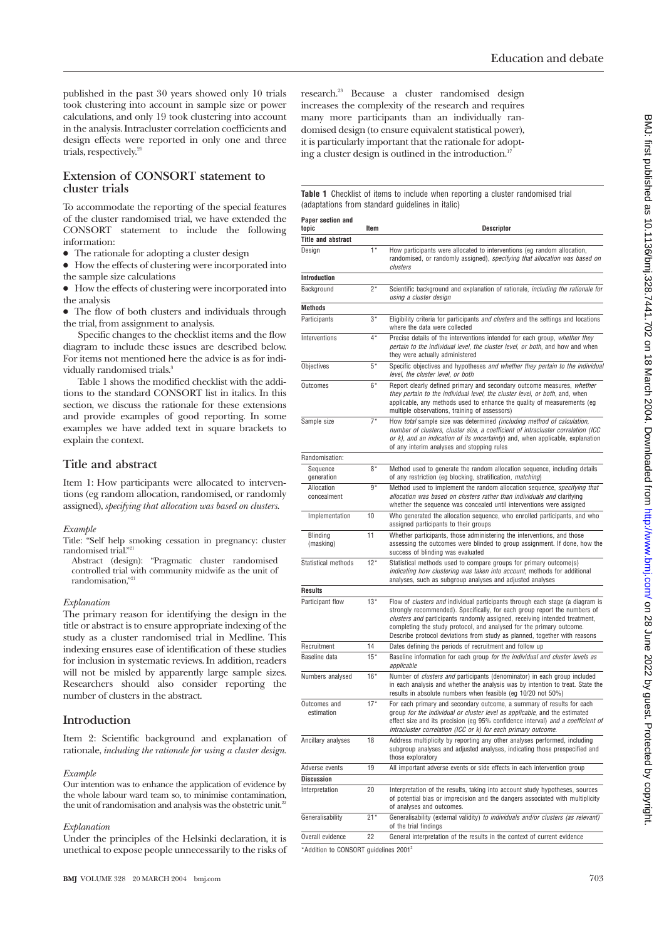published in the past 30 years showed only 10 trials took clustering into account in sample size or power calculations, and only 19 took clustering into account in the analysis. Intracluster correlation coefficients and design effects were reported in only one and three trials, respectively.<sup>20</sup>

# **Extension of CONSORT statement to cluster trials**

To accommodate the reporting of the special features of the cluster randomised trial, we have extended the CONSORT statement to include the following information:

- $\bullet$  The rationale for adopting a cluster design
- How the effects of clustering were incorporated into the sample size calculations
- $\bullet$  How the effects of clustering were incorporated into the analysis

• The flow of both clusters and individuals through the trial, from assignment to analysis.

Specific changes to the checklist items and the flow diagram to include these issues are described below. For items not mentioned here the advice is as for individually randomised trials.<sup>3</sup>

Table 1 shows the modified checklist with the additions to the standard CONSORT list in italics. In this section, we discuss the rationale for these extensions and provide examples of good reporting. In some examples we have added text in square brackets to explain the context.

# **Title and abstract**

Item 1: How participants were allocated to interventions (eg random allocation, randomised, or randomly assigned), *specifying that allocation was based on clusters.*

#### *Example*

Title: "Self help smoking cessation in pregnancy: cluster randomised trial."21

Abstract (design): "Pragmatic cluster randomised controlled trial with community midwife as the unit of randomisation,"21

#### *Explanation*

The primary reason for identifying the design in the title or abstract is to ensure appropriate indexing of the study as a cluster randomised trial in Medline. This indexing ensures ease of identification of these studies for inclusion in systematic reviews. In addition, readers will not be misled by apparently large sample sizes. Researchers should also consider reporting the number of clusters in the abstract.

### **Introduction**

Item 2: Scientific background and explanation of rationale, *including the rationale for using a cluster design.*

#### *Example*

Our intention was to enhance the application of evidence by the whole labour ward team so, to minimise contamination, the unit of randomisation and analysis was the obstetric unit.<sup>22</sup>

#### *Explanation*

Under the principles of the Helsinki declaration, it is unethical to expose people unnecessarily to the risks of research.23 Because a cluster randomised design increases the complexity of the research and requires many more participants than an individually randomised design (to ensure equivalent statistical power), it is particularly important that the rationale for adopting a cluster design is outlined in the introduction.17

**Table 1** Checklist of items to include when reporting a cluster randomised trial (adaptations from standard guidelines in italic)

| Paper section and |  |  |
|-------------------|--|--|
|-------------------|--|--|

| Paper section and<br>topic | Item  | <b>Descriptor</b>                                                                                                                                                                                                                                                                                                                                                                                    |  |  |  |
|----------------------------|-------|------------------------------------------------------------------------------------------------------------------------------------------------------------------------------------------------------------------------------------------------------------------------------------------------------------------------------------------------------------------------------------------------------|--|--|--|
| <b>Title and abstract</b>  |       |                                                                                                                                                                                                                                                                                                                                                                                                      |  |  |  |
| Desian                     | $1*$  | How participants were allocated to interventions (eg random allocation,<br>randomised, or randomly assigned), specifying that allocation was based on<br>clusters                                                                                                                                                                                                                                    |  |  |  |
| <b>Introduction</b>        |       |                                                                                                                                                                                                                                                                                                                                                                                                      |  |  |  |
| Background                 | $2^*$ | Scientific background and explanation of rationale, <i>including the rationale for</i><br>using a cluster design                                                                                                                                                                                                                                                                                     |  |  |  |
| Methods                    |       |                                                                                                                                                                                                                                                                                                                                                                                                      |  |  |  |
| Participants               | $3^*$ | Eligibility criteria for participants and clusters and the settings and locations<br>where the data were collected                                                                                                                                                                                                                                                                                   |  |  |  |
| Interventions              | $4*$  | Precise details of the interventions intended for each group, whether they<br>pertain to the individual level, the cluster level, or both, and how and when<br>they were actually administered                                                                                                                                                                                                       |  |  |  |
| <b>Objectives</b>          | $5*$  | Specific objectives and hypotheses and whether they pertain to the individual<br>level, the cluster level, or both                                                                                                                                                                                                                                                                                   |  |  |  |
| Outcomes                   | $6*$  | Report clearly defined primary and secondary outcome measures, whether<br>they pertain to the individual level, the cluster level, or both, and, when<br>applicable, any methods used to enhance the quality of measurements (eg<br>multiple observations, training of assessors)                                                                                                                    |  |  |  |
| Sample size                | $7*$  | How total sample size was determined (including method of calculation,<br>number of clusters, cluster size, a coefficient of intracluster correlation (ICC<br>or $k$ ), and an indication of its uncertainty) and, when applicable, explanation<br>of any interim analyses and stopping rules                                                                                                        |  |  |  |
| Randomisation:             |       |                                                                                                                                                                                                                                                                                                                                                                                                      |  |  |  |
| Sequence<br>generation     | $8*$  | Method used to generate the random allocation sequence, including details<br>of any restriction (eq blocking, stratification, matching)                                                                                                                                                                                                                                                              |  |  |  |
| Allocation<br>concealment  | $9*$  | Method used to implement the random allocation sequence, <i>specifying that</i><br>allocation was based on clusters rather than individuals and clarifying<br>whether the sequence was concealed until interventions were assigned                                                                                                                                                                   |  |  |  |
| Implementation             | 10    | Who generated the allocation sequence, who enrolled participants, and who<br>assigned participants to their groups                                                                                                                                                                                                                                                                                   |  |  |  |
| Blinding<br>(masking)      | 11    | Whether participants, those administering the interventions, and those<br>assessing the outcomes were blinded to group assignment. If done, how the<br>success of blinding was evaluated                                                                                                                                                                                                             |  |  |  |
| Statistical methods        | $12*$ | Statistical methods used to compare groups for primary outcome(s)<br>indicating how clustering was taken into account, methods for additional<br>analyses, such as subgroup analyses and adjusted analyses                                                                                                                                                                                           |  |  |  |
| <b>Results</b>             |       |                                                                                                                                                                                                                                                                                                                                                                                                      |  |  |  |
| Participant flow           | $13*$ | Flow of <i>clusters and</i> individual participants through each stage (a diagram is<br>strongly recommended). Specifically, for each group report the numbers of<br>clusters and participants randomly assigned, receiving intended treatment,<br>completing the study protocol, and analysed for the primary outcome.<br>Describe protocol deviations from study as planned, together with reasons |  |  |  |
| Recruitment                | 14    | Dates defining the periods of recruitment and follow up                                                                                                                                                                                                                                                                                                                                              |  |  |  |
| Baseline data              | $15*$ | Baseline information for each group for the individual and cluster levels as<br>applicable                                                                                                                                                                                                                                                                                                           |  |  |  |
| Numbers analysed           | $16*$ | Number of <i>clusters and</i> participants (denominator) in each group included<br>in each analysis and whether the analysis was by intention to treat. State the<br>results in absolute numbers when feasible (eg 10/20 not 50%)                                                                                                                                                                    |  |  |  |
| Outcomes and<br>estimation | $17*$ | For each primary and secondary outcome, a summary of results for each<br>group for the individual or cluster level as applicable, and the estimated<br>effect size and its precision (eg 95% confidence interval) and a coefficient of<br>intracluster correlation (ICC or k) for each primary outcome.                                                                                              |  |  |  |
| Ancillary analyses         | 18    | Address multiplicity by reporting any other analyses performed, including<br>subgroup analyses and adjusted analyses, indicating those prespecified and<br>those exploratory                                                                                                                                                                                                                         |  |  |  |
| Adverse events             | 19    | All important adverse events or side effects in each intervention group                                                                                                                                                                                                                                                                                                                              |  |  |  |
| <b>Discussion</b>          |       |                                                                                                                                                                                                                                                                                                                                                                                                      |  |  |  |
| Interpretation             | 20    | Interpretation of the results, taking into account study hypotheses, sources<br>of potential bias or imprecision and the dangers associated with multiplicity<br>of analyses and outcomes.                                                                                                                                                                                                           |  |  |  |
| Generalisability           | $21*$ | Generalisability (external validity) to individuals and/or clusters (as relevant)<br>of the trial findings                                                                                                                                                                                                                                                                                           |  |  |  |
| Overall evidence           | 22    | General interpretation of the results in the context of current evidence                                                                                                                                                                                                                                                                                                                             |  |  |  |

\*Addition to CONSORT guidelines 2001<sup>2</sup>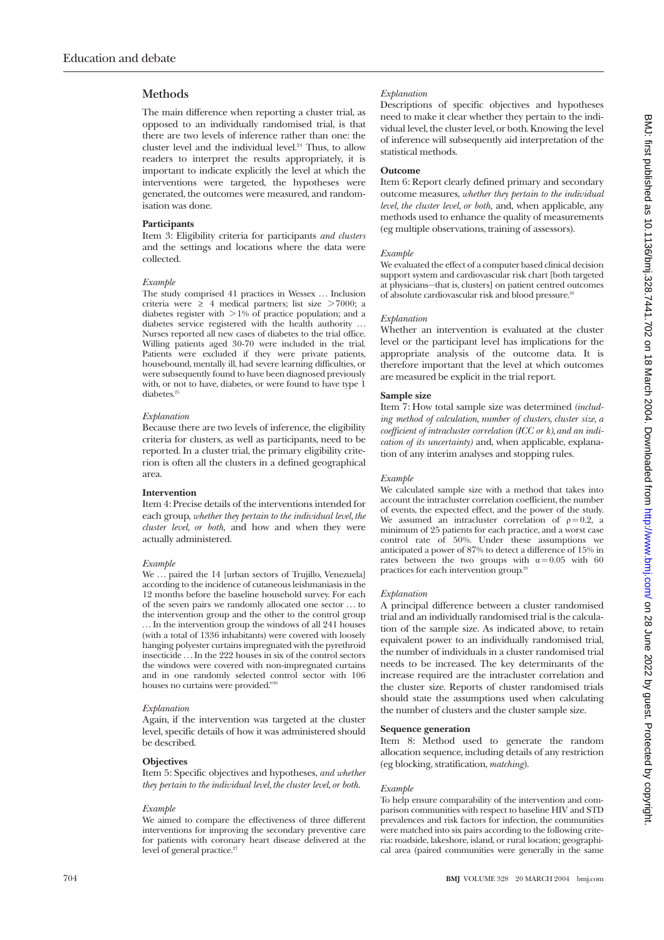# **Methods**

The main difference when reporting a cluster trial, as opposed to an individually randomised trial, is that there are two levels of inference rather than one: the cluster level and the individual level. $24$  Thus, to allow readers to interpret the results appropriately, it is important to indicate explicitly the level at which the interventions were targeted, the hypotheses were generated, the outcomes were measured, and randomisation was done.

#### **Participants**

Item 3: Eligibility criteria for participants *and clusters* and the settings and locations where the data were collected.

#### *Example*

The study comprised 41 practices in Wessex ... Inclusion criteria were  $\geq 4$  medical partners; list size >7000; a diabetes register with  $>1\%$  of practice population; and a diabetes service registered with the health authority ... Nurses reported all new cases of diabetes to the trial office. Willing patients aged 30-70 were included in the trial. Patients were excluded if they were private patients, housebound, mentally ill, had severe learning difficulties, or were subsequently found to have been diagnosed previously with, or not to have, diabetes, or were found to have type 1 diabetes.<sup>25</sup>

#### *Explanation*

Because there are two levels of inference, the eligibility criteria for clusters, as well as participants, need to be reported. In a cluster trial, the primary eligibility criterion is often all the clusters in a defined geographical area.

#### **Intervention**

Item 4: Precise details of the interventions intended for each group, *whether they pertain to the individual level, the cluster level, or both,* and how and when they were actually administered.

#### *Example*

We ... paired the 14 [urban sectors of Trujillo, Venezuela] according to the incidence of cutaneous leishmaniasis in the 12 months before the baseline household survey. For each of the seven pairs we randomly allocated one sector . . . to the intervention group and the other to the control group . . . In the intervention group the windows of all 241 houses (with a total of 1336 inhabitants) were covered with loosely hanging polyester curtains impregnated with the pyrethroid insecticide  $\ldots$  In the 222 houses in six of the control sectors the windows were covered with non-impregnated curtains and in one randomly selected control sector with 106 houses no curtains were provided."<sup>2</sup>

#### *Explanation*

Again, if the intervention was targeted at the cluster level, specific details of how it was administered should be described.

#### **Objectives**

Item 5: Specific objectives and hypotheses, *and whether they pertain to the individual level, the cluster level, or both*.

#### *Example*

We aimed to compare the effectiveness of three different interventions for improving the secondary preventive care for patients with coronary heart disease delivered at the level of general practice.<sup>27</sup>

## *Explanation*

Descriptions of specific objectives and hypotheses need to make it clear whether they pertain to the individual level, the cluster level, or both. Knowing the level of inference will subsequently aid interpretation of the statistical methods.

#### **Outcome**

Item 6: Report clearly defined primary and secondary outcome measures, *whether they pertain to the individual level, the cluster level, or both,* and, when applicable, any methods used to enhance the quality of measurements (eg multiple observations, training of assessors).

#### *Example*

We evaluated the effect of a computer based clinical decision support system and cardiovascular risk chart [both targeted at physicians—that is, clusters] on patient centred outcomes of absolute cardiovascular risk and blood pressure.<sup>28</sup>

#### *Explanation*

Whether an intervention is evaluated at the cluster level or the participant level has implications for the appropriate analysis of the outcome data. It is therefore important that the level at which outcomes are measured be explicit in the trial report.

#### **Sample size**

Item 7: How total sample size was determined *(including method of calculation, number of clusters, cluster size, a coefficient of intracluster correlation (ICC or k), and an indication of its uncertainty)* and, when applicable, explanation of any interim analyses and stopping rules.

#### *Example*

We calculated sample size with a method that takes into account the intracluster correlation coefficient, the number of events, the expected effect, and the power of the study. We assumed an intracluster correlation of  $\rho = 0.2$ , a minimum of 25 patients for each practice, and a worst case control rate of 50%. Under these assumptions we anticipated a power of 87% to detect a difference of 15% in rates between the two groups with  $\alpha = 0.05$  with 60 practices for each intervention group.29

#### *Explanation*

A principal difference between a cluster randomised trial and an individually randomised trial is the calculation of the sample size. As indicated above, to retain equivalent power to an individually randomised trial, the number of individuals in a cluster randomised trial needs to be increased. The key determinants of the increase required are the intracluster correlation and the cluster size. Reports of cluster randomised trials should state the assumptions used when calculating the number of clusters and the cluster sample size.

#### **Sequence generation**

Item 8: Method used to generate the random allocation sequence, including details of any restriction (eg blocking, stratification, *matching*).

#### *Example*

To help ensure comparability of the intervention and comparison communities with respect to baseline HIV and STD prevalences and risk factors for infection, the communities were matched into six pairs according to the following criteria: roadside, lakeshore, island, or rural location; geographical area (paired communities were generally in the same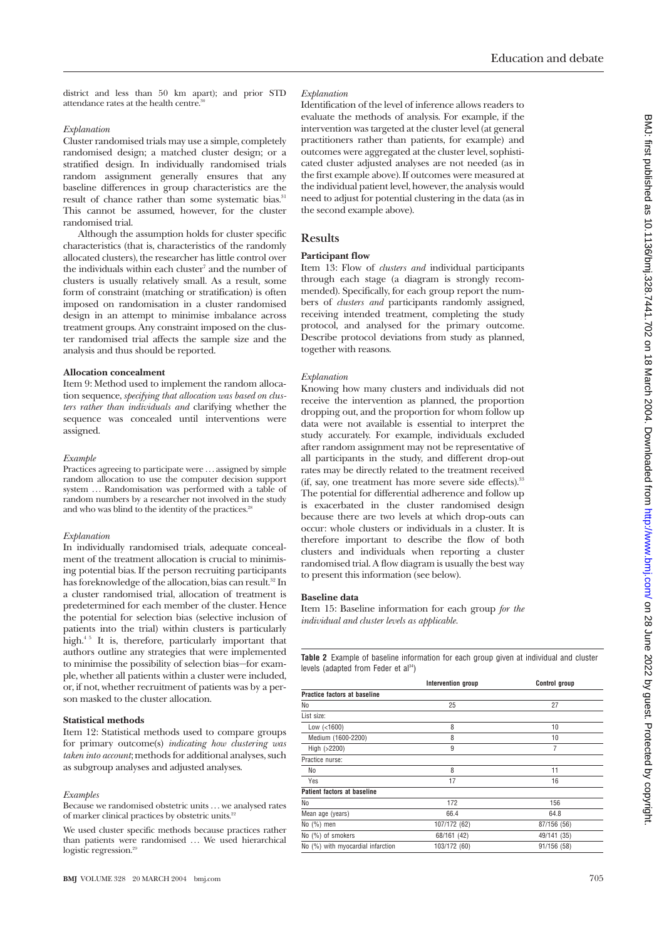district and less than 50 km apart); and prior STD attendance rates at the health centre.<sup>31</sup>

#### *Explanation*

Cluster randomised trials may use a simple, completely randomised design; a matched cluster design; or a stratified design. In individually randomised trials random assignment generally ensures that any baseline differences in group characteristics are the result of chance rather than some systematic bias.<sup>31</sup> This cannot be assumed, however, for the cluster randomised trial.

Although the assumption holds for cluster specific characteristics (that is, characteristics of the randomly allocated clusters), the researcher has little control over the individuals within each cluster<sup>7</sup> and the number of clusters is usually relatively small. As a result, some form of constraint (matching or stratification) is often imposed on randomisation in a cluster randomised design in an attempt to minimise imbalance across treatment groups. Any constraint imposed on the cluster randomised trial affects the sample size and the analysis and thus should be reported.

### **Allocation concealment**

Item 9: Method used to implement the random allocation sequence, *specifying that allocation was based on clusters rather than individuals and* clarifying whether the sequence was concealed until interventions were assigned.

#### *Example*

Practices agreeing to participate were . . . assigned by simple random allocation to use the computer decision support system ... Randomisation was performed with a table of random numbers by a researcher not involved in the study and who was blind to the identity of the practices.<sup>28</sup>

#### *Explanation*

In individually randomised trials, adequate concealment of the treatment allocation is crucial to minimising potential bias. If the person recruiting participants has foreknowledge of the allocation, bias can result.<sup>32</sup> In a cluster randomised trial, allocation of treatment is predetermined for each member of the cluster. Hence the potential for selection bias (selective inclusion of patients into the trial) within clusters is particularly high.4 5 It is, therefore, particularly important that authors outline any strategies that were implemented to minimise the possibility of selection bias—for example, whether all patients within a cluster were included, or, if not, whether recruitment of patients was by a person masked to the cluster allocation.

#### **Statistical methods**

Item 12: Statistical methods used to compare groups for primary outcome(s) *indicating how clustering was taken into account*; methods for additional analyses, such as subgroup analyses and adjusted analyses.

#### *Examples*

Because we randomised obstetric units . . . we analysed rates of marker clinical practices by obstetric units.<sup>2</sup>

We used cluster specific methods because practices rather than patients were randomised ... We used hierarchical logistic regression.<sup>29</sup>

#### *Explanation*

Identification of the level of inference allows readers to evaluate the methods of analysis. For example, if the intervention was targeted at the cluster level (at general practitioners rather than patients, for example) and outcomes were aggregated at the cluster level, sophisticated cluster adjusted analyses are not needed (as in the first example above). If outcomes were measured at the individual patient level, however, the analysis would need to adjust for potential clustering in the data (as in the second example above).

### **Results**

#### **Participant flow**

Item 13: Flow of *clusters and* individual participants through each stage (a diagram is strongly recommended). Specifically, for each group report the numbers of *clusters and* participants randomly assigned, receiving intended treatment, completing the study protocol, and analysed for the primary outcome. Describe protocol deviations from study as planned, together with reasons.

#### *Explanation*

Knowing how many clusters and individuals did not receive the intervention as planned, the proportion dropping out, and the proportion for whom follow up data were not available is essential to interpret the study accurately. For example, individuals excluded after random assignment may not be representative of all participants in the study, and different drop-out rates may be directly related to the treatment received (if, say, one treatment has more severe side effects).<sup>33</sup> The potential for differential adherence and follow up is exacerbated in the cluster randomised design because there are two levels at which drop-outs can occur: whole clusters or individuals in a cluster. It is therefore important to describe the flow of both clusters and individuals when reporting a cluster randomised trial. A flow diagram is usually the best way to present this information (see below).

#### **Baseline data**

Item 15: Baseline information for each group *for the individual and cluster levels as applicable.*

**Table 2** Example of baseline information for each group given at individual and cluster levels (adapted from Feder et al<sup>34</sup>)

|                                   | Intervention group | <b>Control group</b> |  |
|-----------------------------------|--------------------|----------------------|--|
| Practice factors at baseline      |                    |                      |  |
| No                                | 25                 | 27                   |  |
| List size:                        |                    |                      |  |
| Low $(<1600)$                     | 8                  | 10                   |  |
| Medium (1600-2200)                | 8                  | 10                   |  |
| High (>2200)                      | 9                  | $\overline{7}$       |  |
| Practice nurse:                   |                    |                      |  |
| No                                | 8                  | 11                   |  |
| Yes                               | 17                 | 16                   |  |
| Patient factors at baseline       |                    |                      |  |
| No                                | 172                | 156                  |  |
| Mean age (years)                  | 66.4               | 64.8                 |  |
| No $(%)$ men                      | 107/172 (62)       | 87/156 (56)          |  |
| No (%) of smokers                 | 68/161 (42)        | 49/141 (35)          |  |
| No (%) with myocardial infarction | 103/172 (60)       | 91/156 (58)          |  |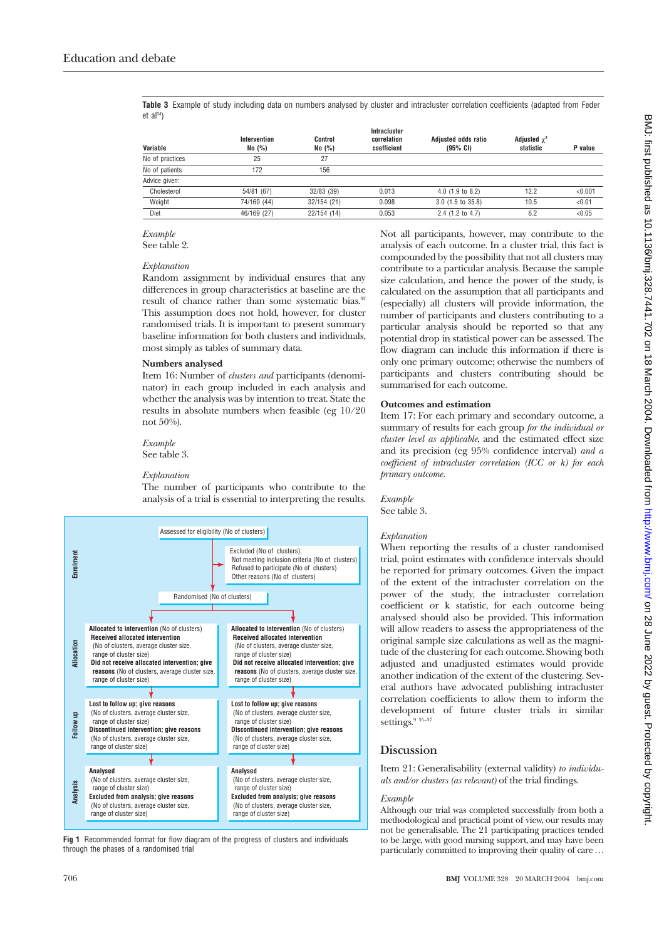**Table 3** Example of study including data on numbers analysed by cluster and intracluster correlation coefficients (adapted from Feder  $et al^{34}$ 

| Variable        | Intervention<br>No $(%)$ | Control<br>No $(%)$ | Intracluster<br>correlation<br>coefficient | <b>Adjusted odds ratio</b><br>(95% CI) | Adjusted $\chi^2$<br>statistic | P value |
|-----------------|--------------------------|---------------------|--------------------------------------------|----------------------------------------|--------------------------------|---------|
| No of practices | 25                       | 27                  |                                            |                                        |                                |         |
| No of patients  | 172                      | 156                 |                                            |                                        |                                |         |
| Advice given:   |                          |                     |                                            |                                        |                                |         |
| Cholesterol     | 54/81 (67)               | 32/83 (39)          | 0.013                                      | $4.0$ (1.9 to 8.2)                     | 12.2                           | < 0.001 |
| Weight          | 74/169 (44)              | 32/154 (21)         | 0.098                                      | 3.0 (1.5 to 35.8)                      | 10.5                           | < 0.01  |
| Diet            | 46/169 (27)              | 22/154 (14)         | 0.053                                      | $2.4$ (1.2 to 4.7)                     | 6.2                            | < 0.05  |

*Example*

See table 2.

#### *Explanation*

Random assignment by individual ensures that any differences in group characteristics at baseline are the result of chance rather than some systematic bias.<sup>32</sup> This assumption does not hold, however, for cluster randomised trials. It is important to present summary baseline information for both clusters and individuals, most simply as tables of summary data.

#### **Numbers analysed**

Item 16: Number of *clusters and* participants (denominator) in each group included in each analysis and whether the analysis was by intention to treat. State the results in absolute numbers when feasible (eg 10/20 not 50%).

#### *Example* See table 3.

#### *Explanation*

The number of participants who contribute to the analysis of a trial is essential to interpreting the results.



**Fig 1** Recommended format for flow diagram of the progress of clusters and individuals through the phases of a randomised trial

Not all participants, however, may contribute to the analysis of each outcome. In a cluster trial, this fact is compounded by the possibility that not all clusters may contribute to a particular analysis. Because the sample size calculation, and hence the power of the study, is calculated on the assumption that all participants and (especially) all clusters will provide information, the number of participants and clusters contributing to a particular analysis should be reported so that any potential drop in statistical power can be assessed. The flow diagram can include this information if there is only one primary outcome; otherwise the numbers of participants and clusters contributing should be summarised for each outcome.

#### **Outcomes and estimation**

Item 17: For each primary and secondary outcome, a summary of results for each group *for the individual or cluster level as applicable*, and the estimated effect size and its precision (eg 95% confidence interval) *and a coefficient of intracluster correlation (ICC or k) for each primary outcome.*

#### *Example* See table 3.

# *Explanation*

When reporting the results of a cluster randomised trial, point estimates with confidence intervals should be reported for primary outcomes. Given the impact of the extent of the intracluster correlation on the power of the study, the intracluster correlation coefficient or k statistic, for each outcome being analysed should also be provided. This information will allow readers to assess the appropriateness of the original sample size calculations as well as the magnitude of the clustering for each outcome. Showing both adjusted and unadjusted estimates would provide another indication of the extent of the clustering. Several authors have advocated publishing intracluster correlation coefficients to allow them to inform the development of future cluster trials in similar settings. $935-3$ 

# **Discussion**

Item 21: Generalisability (external validity) *to individuals and/or clusters (as relevant)* of the trial findings.

#### *Example*

Although our trial was completed successfully from both a methodological and practical point of view, our results may not be generalisable. The 21 participating practices tended to be large, with good nursing support, and may have been particularly committed to improving their quality of care . . .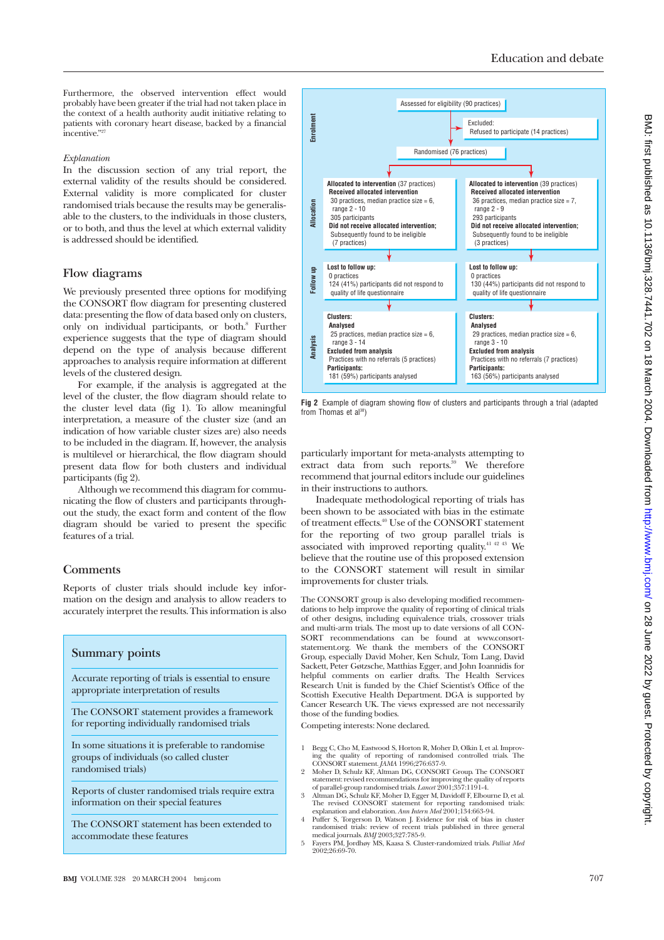Furthermore, the observed intervention effect would probably have been greater if the trial had not taken place in the context of a health authority audit initiative relating to patients with coronary heart disease, backed by a financial incentive."

Enrolment

#### *Explanation*

In the discussion section of any trial report, the external validity of the results should be considered. External validity is more complicated for cluster randomised trials because the results may be generalisable to the clusters, to the individuals in those clusters, or to both, and thus the level at which external validity is addressed should be identified.

## **Flow diagrams**

We previously presented three options for modifying the CONSORT flow diagram for presenting clustered data: presenting the flow of data based only on clusters, only on individual participants, or both.8 Further experience suggests that the type of diagram should depend on the type of analysis because different approaches to analysis require information at different levels of the clustered design.

For example, if the analysis is aggregated at the level of the cluster, the flow diagram should relate to the cluster level data (fig 1). To allow meaningful interpretation, a measure of the cluster size (and an indication of how variable cluster sizes are) also needs to be included in the diagram. If, however, the analysis is multilevel or hierarchical, the flow diagram should present data flow for both clusters and individual participants (fig 2).

Although we recommend this diagram for communicating the flow of clusters and participants throughout the study, the exact form and content of the flow diagram should be varied to present the specific features of a trial.

### **Comments**

Reports of cluster trials should include key information on the design and analysis to allow readers to accurately interpret the results. This information is also

# **Summary points**

Accurate reporting of trials is essential to ensure appropriate interpretation of results

The CONSORT statement provides a framework for reporting individually randomised trials

In some situations it is preferable to randomise groups of individuals (so called cluster randomised trials)

Reports of cluster randomised trials require extra information on their special features

The CONSORT statement has been extended to accommodate these features



Assessed for eligibility (90 practices)



**Fig 2** Example of diagram showing flow of clusters and participants through a trial (adapted from Thomas et al<sup>38</sup>)

particularly important for meta-analysts attempting to extract data from such reports.<sup>39</sup> We therefore recommend that journal editors include our guidelines in their instructions to authors.

Inadequate methodological reporting of trials has been shown to be associated with bias in the estimate of treatment effects.40 Use of the CONSORT statement for the reporting of two group parallel trials is associated with improved reporting quality.41 42 43 We believe that the routine use of this proposed extension to the CONSORT statement will result in similar improvements for cluster trials.

The CONSORT group is also developing modified recommendations to help improve the quality of reporting of clinical trials of other designs, including equivalence trials, crossover trials and multi-arm trials. The most up to date versions of all CON-SORT recommendations can be found at www.consortstatement.org. We thank the members of the CONSORT Group, especially David Moher, Ken Schulz, Tom Lang, David Sackett, Peter Gøtzsche, Matthias Egger, and John Ioannidis for helpful comments on earlier drafts. The Health Services Research Unit is funded by the Chief Scientist's Office of the Scottish Executive Health Department. DGA is supported by Cancer Research UK. The views expressed are not necessarily those of the funding bodies.

Competing interests: None declared.

- 1 Begg C, Cho M, Eastwood S, Horton R, Moher D, Olkin I, et al. Improving the quality of reporting of randomised controlled trials. The CONSORT statement. *JAMA* 1996;276:637-9.
- 2 Moher D, Schulz KF, Altman DG, CONSORT Group. The CONSORT statement: revised recommendations for improving the quality of reports<br>of parallel-group randomised trials. *Lancet* 2001;357:1191-4.<br>3 Altman DG, Schulz KF, Moher D, Egger M, Davidoff F, Elbourne D, et al.
- The revised CONSORT statement for reporting randomised trials: explanation and elaboration. *Ann Intern Med* 2001;134:663-94.
- 4 Puffer S, Torgerson D, Watson J. Evidence for risk of bias in cluster randomised trials: review of recent trials published in three general medical journals. *BMJ* 2003;327:785-9.
- 5 Fayers PM, Jordhøy MS, Kaasa S. Cluster-randomized trials. *Palliat Med* 2002;26:69-70.